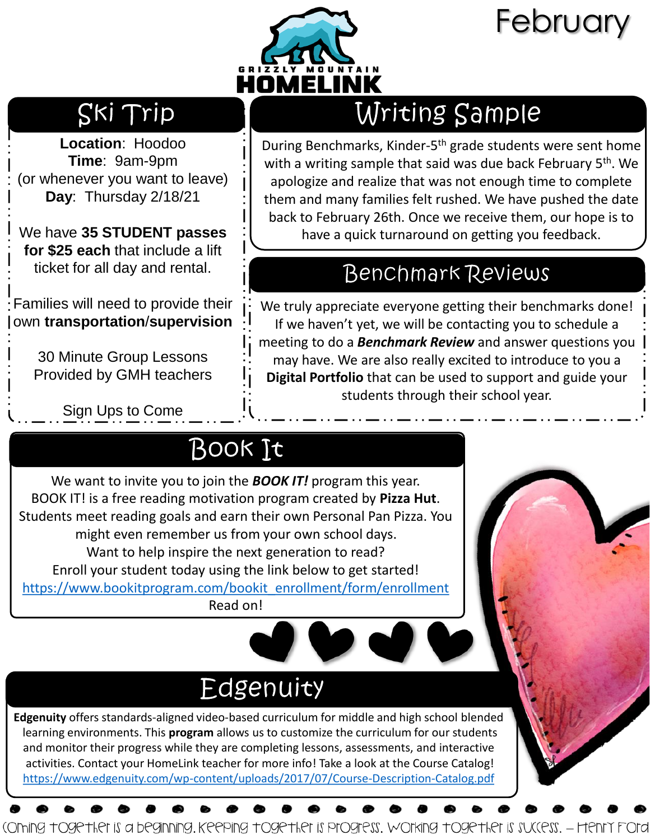

# February

#### Ski Trip

**Location**: Hoodoo **Time**: 9am-9pm (or whenever you want to leave) **Day**: Thursday 2/18/21

We have **35 STUDENT passes for \$25 each** that include a lift ticket for all day and rental.

Families will need to provide their own **transportation**/**supervision**

> 30 Minute Group Lessons Provided by GMH teachers

> > Sign Ups to Come

### Writing Sample

During Benchmarks, Kinder-5<sup>th</sup> grade students were sent home with a writing sample that said was due back February 5<sup>th</sup>. We apologize and realize that was not enough time to complete them and many families felt rushed. We have pushed the date back to February 26th. Once we receive them, our hope is to have a quick turnaround on getting you feedback.

#### **Benchmark Reviews**

We truly appreciate everyone getting their benchmarks done! If we haven't yet, we will be contacting you to schedule a meeting to do a *Benchmark Review* and answer questions you may have. We are also really excited to introduce to you a **Digital Portfolio** that can be used to support and guide your students through their school year.

### **BOOK It**

We want to invite you to join the *BOOK IT!* program this year. BOOK IT! is a free reading motivation program created by **Pizza Hut**. Students meet reading goals and earn their own Personal Pan Pizza. You might even remember us from your own school days. Want to help inspire the next generation to read? Enroll your student today using the link below to get started! [https://www.bookitprogram.com/bookit\\_enrollment/form/enrollment](https://www.bookitprogram.com/bookit_enrollment/form/enrollment) Read on!

## Edgenuity

**Edgenuity** offers standards-aligned video-based curriculum for middle and high school blended learning environments. This **program** allows us to customize the curriculum for our students and monitor their progress while they are completing lessons, assessments, and interactive activities. Contact your HomeLink teacher for more info! Take a look at the Course Catalog! <https://www.edgenuity.com/wp-content/uploads/2017/07/Course-Description-Catalog.pdf>

(Oming together is a beginning. Keeping together is progress. Working together is success. - Henry Ford